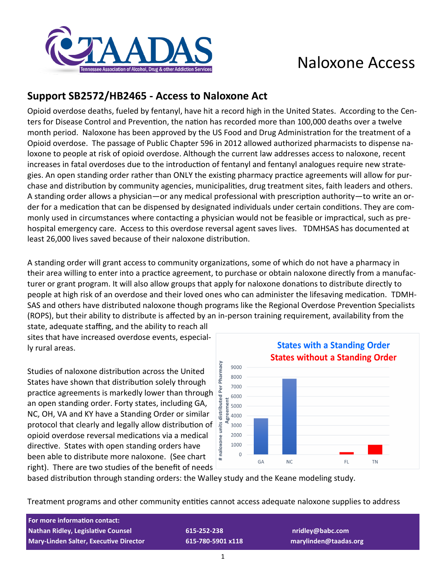

## Naloxone Access

## **Support SB2572/HB2465 - Access to Naloxone Act**

Opioid overdose deaths, fueled by fentanyl, have hit a record high in the United States. According to the Centers for Disease Control and Prevention, the nation has recorded more than 100,000 deaths over a twelve month period. Naloxone has been approved by the US Food and Drug Administration for the treatment of a Opioid overdose. The passage of Public Chapter 596 in 2012 allowed authorized pharmacists to dispense naloxone to people at risk of opioid overdose. Although the current law addresses access to naloxone, recent increases in fatal overdoses due to the introduction of fentanyl and fentanyl analogues require new strategies. An open standing order rather than ONLY the existing pharmacy practice agreements will allow for purchase and distribution by community agencies, municipalities, drug treatment sites, faith leaders and others. A standing order allows a physician—or any medical professional with prescription authority—to write an order for a medication that can be dispensed by designated individuals under certain conditions. They are commonly used in circumstances where contacting a physician would not be feasible or impractical, such as prehospital emergency care. Access to this overdose reversal agent saves lives. TDMHSAS has documented at least 26,000 lives saved because of their naloxone distribution.

A standing order will grant access to community organizations, some of which do not have a pharmacy in their area willing to enter into a practice agreement, to purchase or obtain naloxone directly from a manufacturer or grant program. It will also allow groups that apply for naloxone donations to distribute directly to people at high risk of an overdose and their loved ones who can administer the lifesaving medication. TDMH-SAS and others have distributed naloxone though programs like the Regional Overdose Prevention Specialists (ROPS), but their ability to distribute is affected by an in-person training requirement, availability from the

state, adequate staffing, and the ability to reach all sites that have increased overdose events, especially rural areas.

Studies of naloxone distribution across the United States have shown that distribution solely through practice agreements is markedly lower than through an open standing order. Forty states, including GA, NC, OH, VA and KY have a Standing Order or similar protocol that clearly and legally allow distribution of opioid overdose reversal medications via a medical directive. States with open standing orders have been able to distribute more naloxone. (See chart right). There are two studies of the benefit of needs



based distribution through standing orders: the Walley study and the Keane modeling study.

Treatment programs and other community entities cannot access adequate naloxone supplies to address

| For more information contact:                 |  |
|-----------------------------------------------|--|
| <b>Nathan Ridley, Legislative Counsel</b>     |  |
| <b>Mary-Linden Salter, Executive Director</b> |  |

**Nathan Ridley, Legislative Counsel 615-252-238 nridley@babc.com Mary-Linden Salter, Executive Director 615-780-5901 x118 marylinden@taadas.org**